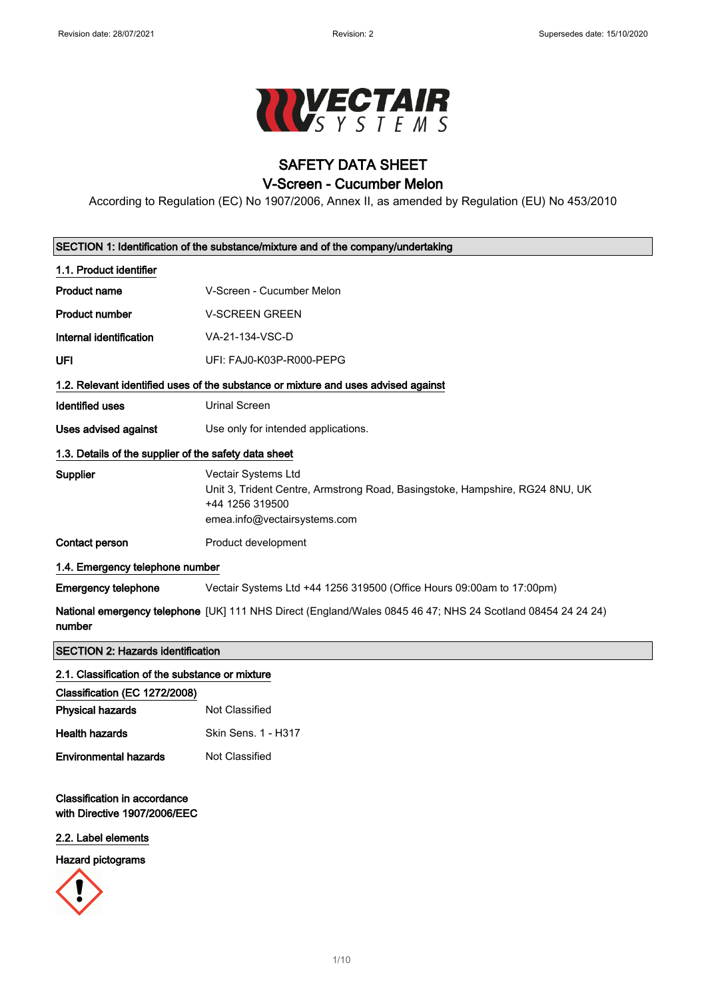

# SAFETY DATA SHEET

### V-Screen - Cucumber Melon

According to Regulation (EC) No 1907/2006, Annex II, as amended by Regulation (EU) No 453/2010

| SECTION 1: Identification of the substance/mixture and of the company/undertaking |                                                                                                                                                               |  |
|-----------------------------------------------------------------------------------|---------------------------------------------------------------------------------------------------------------------------------------------------------------|--|
| 1.1. Product identifier                                                           |                                                                                                                                                               |  |
| <b>Product name</b>                                                               | V-Screen - Cucumber Melon                                                                                                                                     |  |
| <b>Product number</b>                                                             | <b>V-SCREEN GREEN</b>                                                                                                                                         |  |
| Internal identification                                                           | VA-21-134-VSC-D                                                                                                                                               |  |
| UFI                                                                               | UFI: FAJ0-K03P-R000-PEPG                                                                                                                                      |  |
|                                                                                   | 1.2. Relevant identified uses of the substance or mixture and uses advised against                                                                            |  |
| <b>Identified uses</b>                                                            | <b>Urinal Screen</b>                                                                                                                                          |  |
| <b>Uses advised against</b>                                                       | Use only for intended applications.                                                                                                                           |  |
| 1.3. Details of the supplier of the safety data sheet                             |                                                                                                                                                               |  |
| Supplier                                                                          | <b>Vectair Systems Ltd</b><br>Unit 3, Trident Centre, Armstrong Road, Basingstoke, Hampshire, RG24 8NU, UK<br>+44 1256 319500<br>emea.info@vectairsystems.com |  |
| Contact person                                                                    | Product development                                                                                                                                           |  |
| 1.4. Emergency telephone number                                                   |                                                                                                                                                               |  |
| <b>Emergency telephone</b>                                                        | Vectair Systems Ltd +44 1256 319500 (Office Hours 09:00am to 17:00pm)                                                                                         |  |
| number                                                                            | National emergency telephone [UK] 111 NHS Direct (England/Wales 0845 46 47; NHS 24 Scotland 08454 24 24 24)                                                   |  |
| <b>SECTION 2: Hazards identification</b>                                          |                                                                                                                                                               |  |
| 2.1. Classification of the substance or mixture                                   |                                                                                                                                                               |  |
| Classification (EC 1272/2008)                                                     |                                                                                                                                                               |  |
| <b>Physical hazards</b>                                                           | Not Classified                                                                                                                                                |  |

# Health hazards Skin Sens. 1 - H317 Environmental hazards Not Classified

### Classification in accordance with Directive 1907/2006/EEC

#### 2.2. Label elements

#### Hazard pictograms

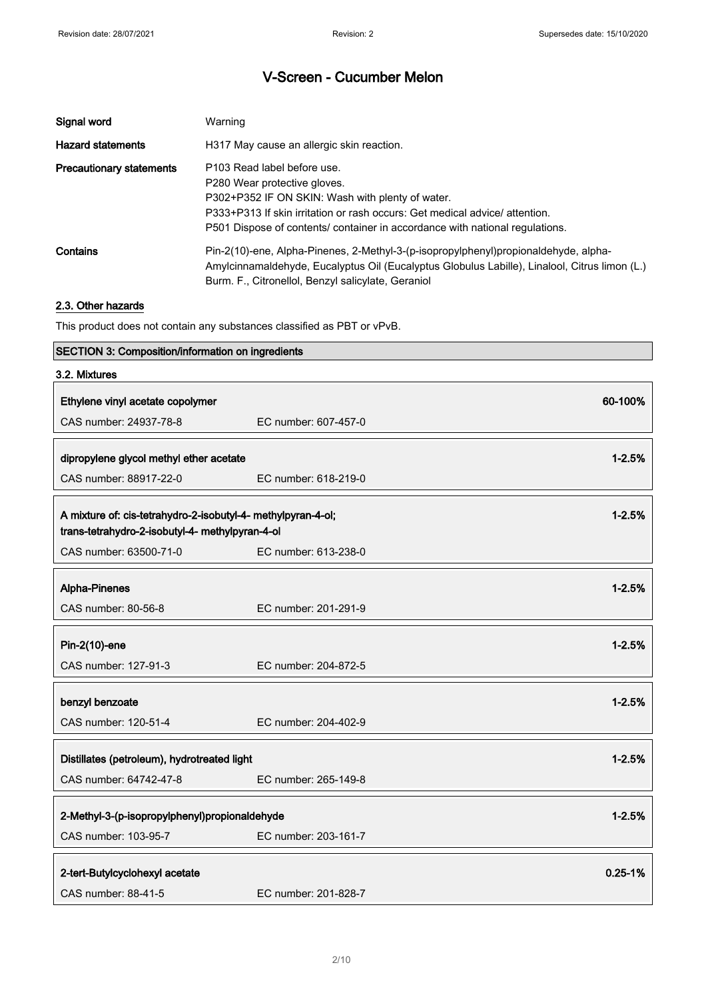| Signal word                     | Warning                                                                                                                                                                                                                                                                       |
|---------------------------------|-------------------------------------------------------------------------------------------------------------------------------------------------------------------------------------------------------------------------------------------------------------------------------|
| <b>Hazard statements</b>        | H317 May cause an allergic skin reaction.                                                                                                                                                                                                                                     |
| <b>Precautionary statements</b> | P103 Read label before use.<br>P280 Wear protective gloves.<br>P302+P352 IF ON SKIN: Wash with plenty of water.<br>P333+P313 If skin irritation or rash occurs: Get medical advice/attention.<br>P501 Dispose of contents/ container in accordance with national regulations. |
| Contains                        | Pin-2(10)-ene, Alpha-Pinenes, 2-Methyl-3-(p-isopropylphenyl)propionaldehyde, alpha-<br>Amylcinnamaldehyde, Eucalyptus Oil (Eucalyptus Globulus Labille), Linalool, Citrus limon (L.)<br>Burm. F., Citronellol, Benzyl salicylate, Geraniol                                    |

### 2.3. Other hazards

This product does not contain any substances classified as PBT or vPvB.

### SECTION 3: Composition/information on ingredients

| 3.2. Mixtures                                                                                                   |                      |             |
|-----------------------------------------------------------------------------------------------------------------|----------------------|-------------|
| Ethylene vinyl acetate copolymer                                                                                |                      | 60-100%     |
| CAS number: 24937-78-8                                                                                          | EC number: 607-457-0 |             |
| dipropylene glycol methyl ether acetate                                                                         |                      | $1 - 2.5%$  |
| CAS number: 88917-22-0                                                                                          | EC number: 618-219-0 |             |
| A mixture of: cis-tetrahydro-2-isobutyl-4- methylpyran-4-ol;<br>trans-tetrahydro-2-isobutyl-4- methylpyran-4-ol |                      | $1 - 2.5%$  |
| CAS number: 63500-71-0                                                                                          | EC number: 613-238-0 |             |
| Alpha-Pinenes                                                                                                   |                      | $1 - 2.5%$  |
| CAS number: 80-56-8                                                                                             | EC number: 201-291-9 |             |
| Pin-2(10)-ene                                                                                                   |                      | $1 - 2.5%$  |
| CAS number: 127-91-3                                                                                            | EC number: 204-872-5 |             |
| benzyl benzoate                                                                                                 |                      | $1 - 2.5%$  |
| CAS number: 120-51-4                                                                                            | EC number: 204-402-9 |             |
| $1 - 2.5%$<br>Distillates (petroleum), hydrotreated light                                                       |                      |             |
| CAS number: 64742-47-8                                                                                          | EC number: 265-149-8 |             |
| 2-Methyl-3-(p-isopropylphenyl)propionaldehyde                                                                   |                      | $1 - 2.5%$  |
| CAS number: 103-95-7                                                                                            | EC number: 203-161-7 |             |
| 2-tert-Butylcyclohexyl acetate                                                                                  |                      | $0.25 - 1%$ |
| CAS number: 88-41-5                                                                                             | EC number: 201-828-7 |             |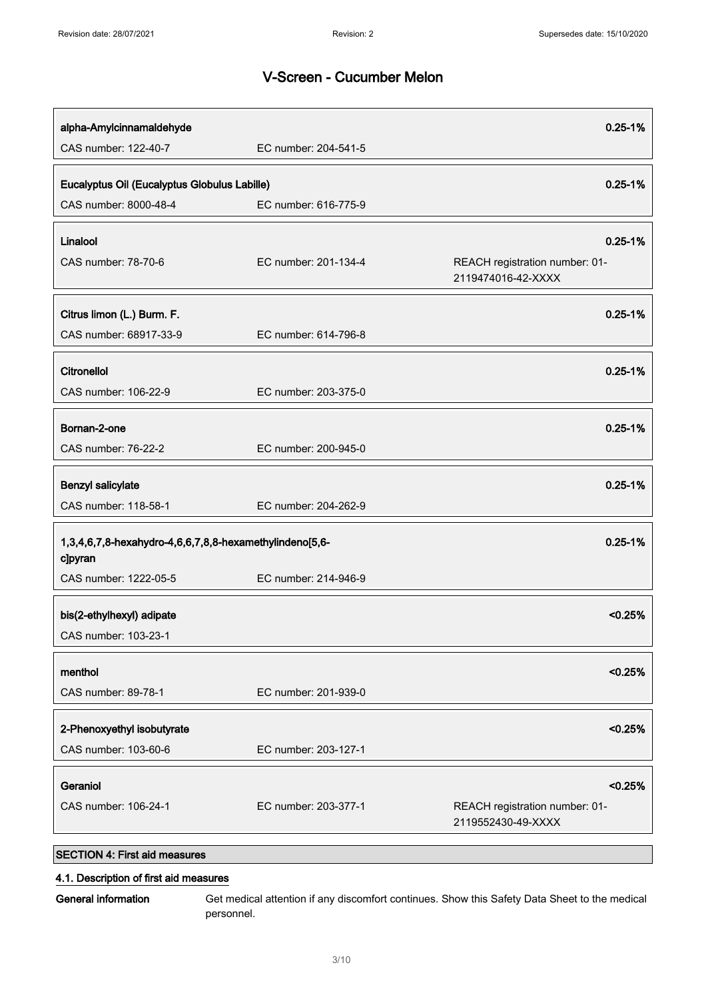| alpha-Amylcinnamaldehyde                                |                      | $0.25 - 1%$                                          |
|---------------------------------------------------------|----------------------|------------------------------------------------------|
| CAS number: 122-40-7                                    | EC number: 204-541-5 |                                                      |
| Eucalyptus Oil (Eucalyptus Globulus Labille)            |                      | $0.25 - 1%$                                          |
| CAS number: 8000-48-4                                   | EC number: 616-775-9 |                                                      |
| Linalool                                                |                      | $0.25 - 1%$                                          |
| CAS number: 78-70-6                                     | EC number: 201-134-4 | REACH registration number: 01-                       |
|                                                         |                      | 2119474016-42-XXXX                                   |
| Citrus limon (L.) Burm. F.                              |                      | $0.25 - 1%$                                          |
| CAS number: 68917-33-9                                  | EC number: 614-796-8 |                                                      |
|                                                         |                      |                                                      |
| Citronellol                                             |                      | $0.25 - 1%$                                          |
| CAS number: 106-22-9                                    | EC number: 203-375-0 |                                                      |
|                                                         |                      |                                                      |
| Bornan-2-one<br>CAS number: 76-22-2                     | EC number: 200-945-0 | $0.25 - 1%$                                          |
|                                                         |                      |                                                      |
| <b>Benzyl salicylate</b>                                |                      | $0.25 - 1%$                                          |
| CAS number: 118-58-1                                    | EC number: 204-262-9 |                                                      |
| 1,3,4,6,7,8-hexahydro-4,6,6,7,8,8-hexamethylindeno[5,6- |                      | $0.25 - 1%$                                          |
| c]pyran                                                 |                      |                                                      |
| CAS number: 1222-05-5                                   | EC number: 214-946-9 |                                                      |
| bis(2-ethylhexyl) adipate                               |                      | < 0.25%                                              |
| CAS number: 103-23-1                                    |                      |                                                      |
|                                                         |                      |                                                      |
| menthol                                                 |                      | < 0.25%                                              |
| CAS number: 89-78-1                                     | EC number: 201-939-0 |                                                      |
| 2-Phenoxyethyl isobutyrate                              |                      | < 0.25%                                              |
| CAS number: 103-60-6                                    | EC number: 203-127-1 |                                                      |
|                                                         |                      |                                                      |
| Geraniol                                                |                      | < 0.25%                                              |
| CAS number: 106-24-1                                    | EC number: 203-377-1 | REACH registration number: 01-<br>2119552430-49-XXXX |
| <b>SECTION 4: First aid measures</b>                    |                      |                                                      |

#### 4.1. Description of first aid measures

General information Get medical attention if any discomfort continues. Show this Safety Data Sheet to the medical personnel.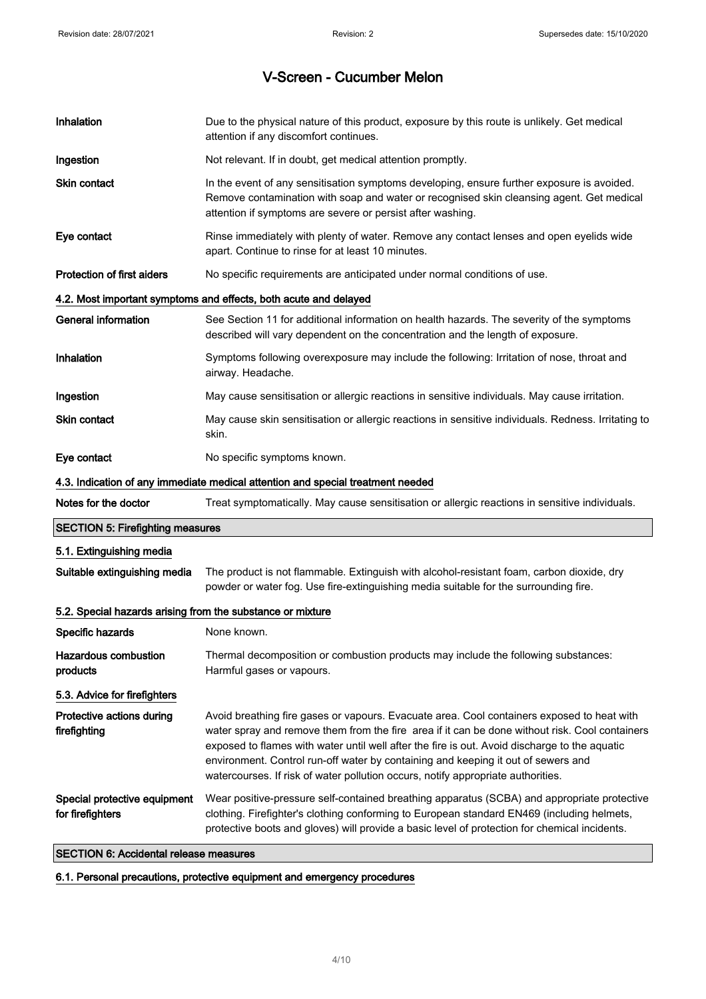| Inhalation                                                 | Due to the physical nature of this product, exposure by this route is unlikely. Get medical<br>attention if any discomfort continues.                                                                                                                                                                                                                                                                                                                                  |
|------------------------------------------------------------|------------------------------------------------------------------------------------------------------------------------------------------------------------------------------------------------------------------------------------------------------------------------------------------------------------------------------------------------------------------------------------------------------------------------------------------------------------------------|
| Ingestion                                                  | Not relevant. If in doubt, get medical attention promptly.                                                                                                                                                                                                                                                                                                                                                                                                             |
| <b>Skin contact</b>                                        | In the event of any sensitisation symptoms developing, ensure further exposure is avoided.<br>Remove contamination with soap and water or recognised skin cleansing agent. Get medical<br>attention if symptoms are severe or persist after washing.                                                                                                                                                                                                                   |
| Eye contact                                                | Rinse immediately with plenty of water. Remove any contact lenses and open eyelids wide<br>apart. Continue to rinse for at least 10 minutes.                                                                                                                                                                                                                                                                                                                           |
| Protection of first aiders                                 | No specific requirements are anticipated under normal conditions of use.                                                                                                                                                                                                                                                                                                                                                                                               |
|                                                            | 4.2. Most important symptoms and effects, both acute and delayed                                                                                                                                                                                                                                                                                                                                                                                                       |
| <b>General information</b>                                 | See Section 11 for additional information on health hazards. The severity of the symptoms<br>described will vary dependent on the concentration and the length of exposure.                                                                                                                                                                                                                                                                                            |
| Inhalation                                                 | Symptoms following overexposure may include the following: Irritation of nose, throat and<br>airway. Headache.                                                                                                                                                                                                                                                                                                                                                         |
| Ingestion                                                  | May cause sensitisation or allergic reactions in sensitive individuals. May cause irritation.                                                                                                                                                                                                                                                                                                                                                                          |
| <b>Skin contact</b>                                        | May cause skin sensitisation or allergic reactions in sensitive individuals. Redness. Irritating to<br>skin.                                                                                                                                                                                                                                                                                                                                                           |
| Eye contact                                                | No specific symptoms known.                                                                                                                                                                                                                                                                                                                                                                                                                                            |
|                                                            | 4.3. Indication of any immediate medical attention and special treatment needed                                                                                                                                                                                                                                                                                                                                                                                        |
| Notes for the doctor                                       | Treat symptomatically. May cause sensitisation or allergic reactions in sensitive individuals.                                                                                                                                                                                                                                                                                                                                                                         |
| <b>SECTION 5: Firefighting measures</b>                    |                                                                                                                                                                                                                                                                                                                                                                                                                                                                        |
| 5.1. Extinguishing media                                   |                                                                                                                                                                                                                                                                                                                                                                                                                                                                        |
| Suitable extinguishing media                               | The product is not flammable. Extinguish with alcohol-resistant foam, carbon dioxide, dry<br>powder or water fog. Use fire-extinguishing media suitable for the surrounding fire.                                                                                                                                                                                                                                                                                      |
| 5.2. Special hazards arising from the substance or mixture |                                                                                                                                                                                                                                                                                                                                                                                                                                                                        |
| Specific hazards                                           | None known.                                                                                                                                                                                                                                                                                                                                                                                                                                                            |
| <b>Hazardous combustion</b><br>products                    | Thermal decomposition or combustion products may include the following substances:<br>Harmful gases or vapours.                                                                                                                                                                                                                                                                                                                                                        |
| 5.3. Advice for firefighters                               |                                                                                                                                                                                                                                                                                                                                                                                                                                                                        |
| Protective actions during<br>firefighting                  | Avoid breathing fire gases or vapours. Evacuate area. Cool containers exposed to heat with<br>water spray and remove them from the fire area if it can be done without risk. Cool containers<br>exposed to flames with water until well after the fire is out. Avoid discharge to the aquatic<br>environment. Control run-off water by containing and keeping it out of sewers and<br>watercourses. If risk of water pollution occurs, notify appropriate authorities. |
| Special protective equipment<br>for firefighters           | Wear positive-pressure self-contained breathing apparatus (SCBA) and appropriate protective<br>clothing. Firefighter's clothing conforming to European standard EN469 (including helmets,<br>protective boots and gloves) will provide a basic level of protection for chemical incidents.                                                                                                                                                                             |
| <b>SECTION 6: Accidental release measures</b>              |                                                                                                                                                                                                                                                                                                                                                                                                                                                                        |

6.1. Personal precautions, protective equipment and emergency procedures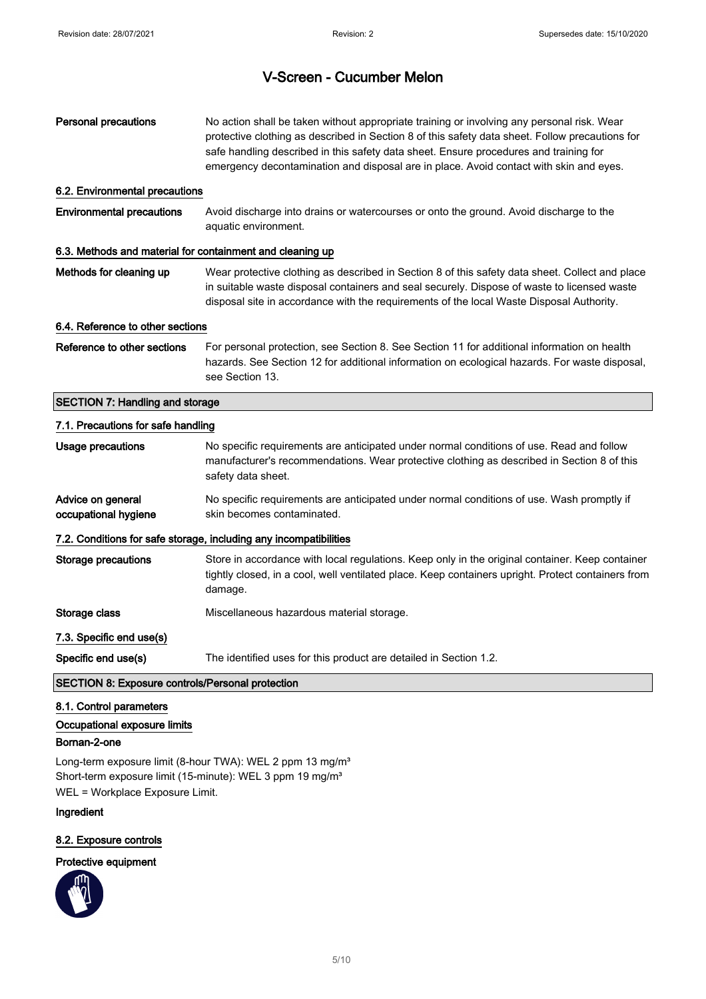| <b>Personal precautions</b>                                             | No action shall be taken without appropriate training or involving any personal risk. Wear<br>protective clothing as described in Section 8 of this safety data sheet. Follow precautions for<br>safe handling described in this safety data sheet. Ensure procedures and training for<br>emergency decontamination and disposal are in place. Avoid contact with skin and eyes. |
|-------------------------------------------------------------------------|----------------------------------------------------------------------------------------------------------------------------------------------------------------------------------------------------------------------------------------------------------------------------------------------------------------------------------------------------------------------------------|
| 6.2. Environmental precautions                                          |                                                                                                                                                                                                                                                                                                                                                                                  |
| <b>Environmental precautions</b>                                        | Avoid discharge into drains or watercourses or onto the ground. Avoid discharge to the<br>aquatic environment.                                                                                                                                                                                                                                                                   |
| 6.3. Methods and material for containment and cleaning up               |                                                                                                                                                                                                                                                                                                                                                                                  |
| Methods for cleaning up                                                 | Wear protective clothing as described in Section 8 of this safety data sheet. Collect and place<br>in suitable waste disposal containers and seal securely. Dispose of waste to licensed waste<br>disposal site in accordance with the requirements of the local Waste Disposal Authority.                                                                                       |
| 6.4. Reference to other sections                                        |                                                                                                                                                                                                                                                                                                                                                                                  |
| Reference to other sections                                             | For personal protection, see Section 8. See Section 11 for additional information on health<br>hazards. See Section 12 for additional information on ecological hazards. For waste disposal,<br>see Section 13.                                                                                                                                                                  |
| <b>SECTION 7: Handling and storage</b>                                  |                                                                                                                                                                                                                                                                                                                                                                                  |
| 7.1. Precautions for safe handling                                      |                                                                                                                                                                                                                                                                                                                                                                                  |
| Usage precautions                                                       | No specific requirements are anticipated under normal conditions of use. Read and follow<br>manufacturer's recommendations. Wear protective clothing as described in Section 8 of this<br>safety data sheet.                                                                                                                                                                     |
| Advice on general<br>occupational hygiene                               | No specific requirements are anticipated under normal conditions of use. Wash promptly if<br>skin becomes contaminated.                                                                                                                                                                                                                                                          |
|                                                                         | 7.2. Conditions for safe storage, including any incompatibilities                                                                                                                                                                                                                                                                                                                |
| <b>Storage precautions</b>                                              | Store in accordance with local regulations. Keep only in the original container. Keep container<br>tightly closed, in a cool, well ventilated place. Keep containers upright. Protect containers from<br>damage.                                                                                                                                                                 |
| Storage class                                                           | Miscellaneous hazardous material storage.                                                                                                                                                                                                                                                                                                                                        |
| 7.3. Specific end use(s)                                                |                                                                                                                                                                                                                                                                                                                                                                                  |
| Specific end use(s)                                                     | The identified uses for this product are detailed in Section 1.2.                                                                                                                                                                                                                                                                                                                |
| SECTION 8: Exposure controls/Personal protection                        |                                                                                                                                                                                                                                                                                                                                                                                  |
| 8.1. Control parameters<br>Occupational exposure limits<br>Bornan-2-one |                                                                                                                                                                                                                                                                                                                                                                                  |

Long-term exposure limit (8-hour TWA): WEL 2 ppm 13 mg/m<sup>3</sup> Short-term exposure limit (15-minute): WEL 3 ppm 19 mg/m<sup>3</sup> WEL = Workplace Exposure Limit.

### Ingredient

#### 8.2. Exposure controls

## Protective equipment

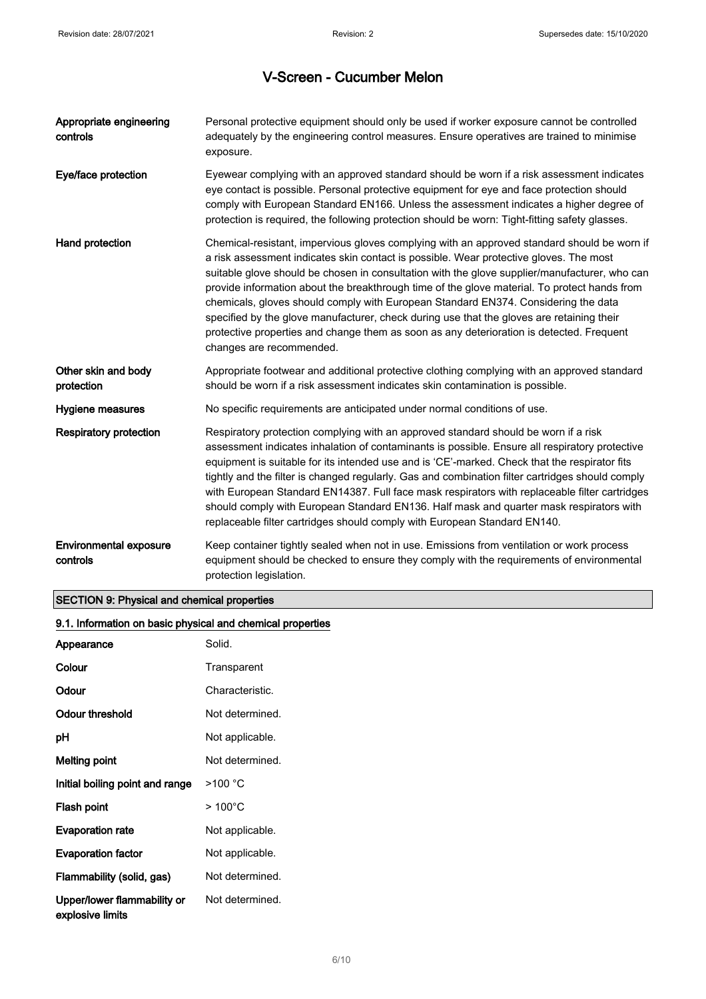| Appropriate engineering<br>controls       | Personal protective equipment should only be used if worker exposure cannot be controlled<br>adequately by the engineering control measures. Ensure operatives are trained to minimise<br>exposure.                                                                                                                                                                                                                                                                                                                                                                                                                                                                                               |
|-------------------------------------------|---------------------------------------------------------------------------------------------------------------------------------------------------------------------------------------------------------------------------------------------------------------------------------------------------------------------------------------------------------------------------------------------------------------------------------------------------------------------------------------------------------------------------------------------------------------------------------------------------------------------------------------------------------------------------------------------------|
| Eye/face protection                       | Eyewear complying with an approved standard should be worn if a risk assessment indicates<br>eye contact is possible. Personal protective equipment for eye and face protection should<br>comply with European Standard EN166. Unless the assessment indicates a higher degree of<br>protection is required, the following protection should be worn: Tight-fitting safety glasses.                                                                                                                                                                                                                                                                                                               |
| Hand protection                           | Chemical-resistant, impervious gloves complying with an approved standard should be worn if<br>a risk assessment indicates skin contact is possible. Wear protective gloves. The most<br>suitable glove should be chosen in consultation with the glove supplier/manufacturer, who can<br>provide information about the breakthrough time of the glove material. To protect hands from<br>chemicals, gloves should comply with European Standard EN374. Considering the data<br>specified by the glove manufacturer, check during use that the gloves are retaining their<br>protective properties and change them as soon as any deterioration is detected. Frequent<br>changes are recommended. |
| Other skin and body<br>protection         | Appropriate footwear and additional protective clothing complying with an approved standard<br>should be worn if a risk assessment indicates skin contamination is possible.                                                                                                                                                                                                                                                                                                                                                                                                                                                                                                                      |
| Hygiene measures                          | No specific requirements are anticipated under normal conditions of use.                                                                                                                                                                                                                                                                                                                                                                                                                                                                                                                                                                                                                          |
| <b>Respiratory protection</b>             | Respiratory protection complying with an approved standard should be worn if a risk<br>assessment indicates inhalation of contaminants is possible. Ensure all respiratory protective<br>equipment is suitable for its intended use and is 'CE'-marked. Check that the respirator fits<br>tightly and the filter is changed regularly. Gas and combination filter cartridges should comply<br>with European Standard EN14387. Full face mask respirators with replaceable filter cartridges<br>should comply with European Standard EN136. Half mask and quarter mask respirators with<br>replaceable filter cartridges should comply with European Standard EN140.                               |
| <b>Environmental exposure</b><br>controls | Keep container tightly sealed when not in use. Emissions from ventilation or work process<br>equipment should be checked to ensure they comply with the requirements of environmental<br>protection legislation.                                                                                                                                                                                                                                                                                                                                                                                                                                                                                  |

## SECTION 9: Physical and chemical properties

| 9.1. Information on basic physical and chemical properties |                  |
|------------------------------------------------------------|------------------|
| Appearance                                                 | Solid.           |
| Colour                                                     | Transparent      |
| Odour                                                      | Characteristic.  |
| <b>Odour threshold</b>                                     | Not determined.  |
| pH                                                         | Not applicable.  |
| <b>Melting point</b>                                       | Not determined.  |
| Initial boiling point and range                            | >100 °C          |
| Flash point                                                | $>100^{\circ}$ C |
| <b>Evaporation rate</b>                                    | Not applicable.  |
| <b>Evaporation factor</b>                                  | Not applicable.  |
| Flammability (solid, gas)                                  | Not determined.  |
| Upper/lower flammability or<br>explosive limits            | Not determined.  |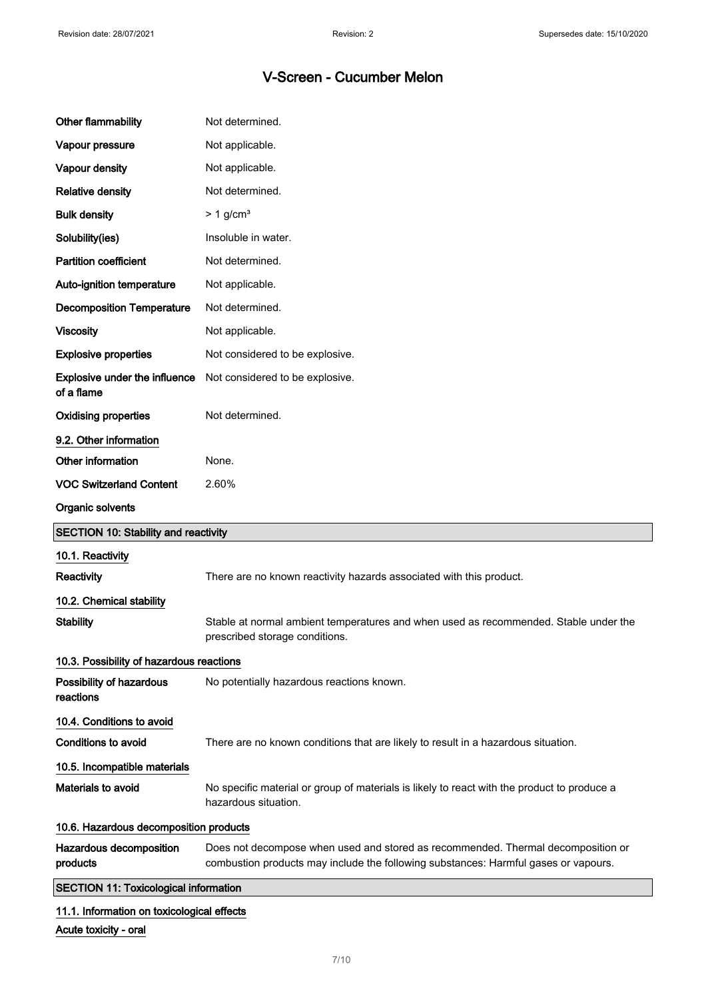| <b>Other flammability</b>                          | Not determined.                                                                                                                                                         |
|----------------------------------------------------|-------------------------------------------------------------------------------------------------------------------------------------------------------------------------|
| Vapour pressure                                    | Not applicable.                                                                                                                                                         |
| Vapour density                                     | Not applicable.                                                                                                                                                         |
| <b>Relative density</b>                            | Not determined.                                                                                                                                                         |
| <b>Bulk density</b>                                | $> 1$ g/cm <sup>3</sup>                                                                                                                                                 |
| Solubility(ies)                                    | Insoluble in water.                                                                                                                                                     |
| <b>Partition coefficient</b>                       | Not determined.                                                                                                                                                         |
| Auto-ignition temperature                          | Not applicable.                                                                                                                                                         |
| <b>Decomposition Temperature</b>                   | Not determined.                                                                                                                                                         |
| <b>Viscosity</b>                                   | Not applicable.                                                                                                                                                         |
| <b>Explosive properties</b>                        | Not considered to be explosive.                                                                                                                                         |
| <b>Explosive under the influence</b><br>of a flame | Not considered to be explosive.                                                                                                                                         |
| <b>Oxidising properties</b>                        | Not determined.                                                                                                                                                         |
| 9.2. Other information                             |                                                                                                                                                                         |
| Other information                                  | None.                                                                                                                                                                   |
| <b>VOC Switzerland Content</b>                     | 2.60%                                                                                                                                                                   |
| Organic solvents                                   |                                                                                                                                                                         |
|                                                    |                                                                                                                                                                         |
| <b>SECTION 10: Stability and reactivity</b>        |                                                                                                                                                                         |
| 10.1. Reactivity                                   |                                                                                                                                                                         |
| Reactivity                                         | There are no known reactivity hazards associated with this product.                                                                                                     |
| 10.2. Chemical stability                           |                                                                                                                                                                         |
| <b>Stability</b>                                   | Stable at normal ambient temperatures and when used as recommended. Stable under the<br>prescribed storage conditions.                                                  |
| 10.3. Possibility of hazardous reactions           |                                                                                                                                                                         |
| Possibility of hazardous<br>reactions              | No potentially hazardous reactions known.                                                                                                                               |
| 10.4. Conditions to avoid                          |                                                                                                                                                                         |
| <b>Conditions to avoid</b>                         | There are no known conditions that are likely to result in a hazardous situation.                                                                                       |
| 10.5. Incompatible materials                       |                                                                                                                                                                         |
| Materials to avoid                                 | No specific material or group of materials is likely to react with the product to produce a<br>hazardous situation.                                                     |
| 10.6. Hazardous decomposition products             |                                                                                                                                                                         |
| Hazardous decomposition<br>products                | Does not decompose when used and stored as recommended. Thermal decomposition or<br>combustion products may include the following substances: Harmful gases or vapours. |
| <b>SECTION 11: Toxicological information</b>       |                                                                                                                                                                         |

Acute toxicity - oral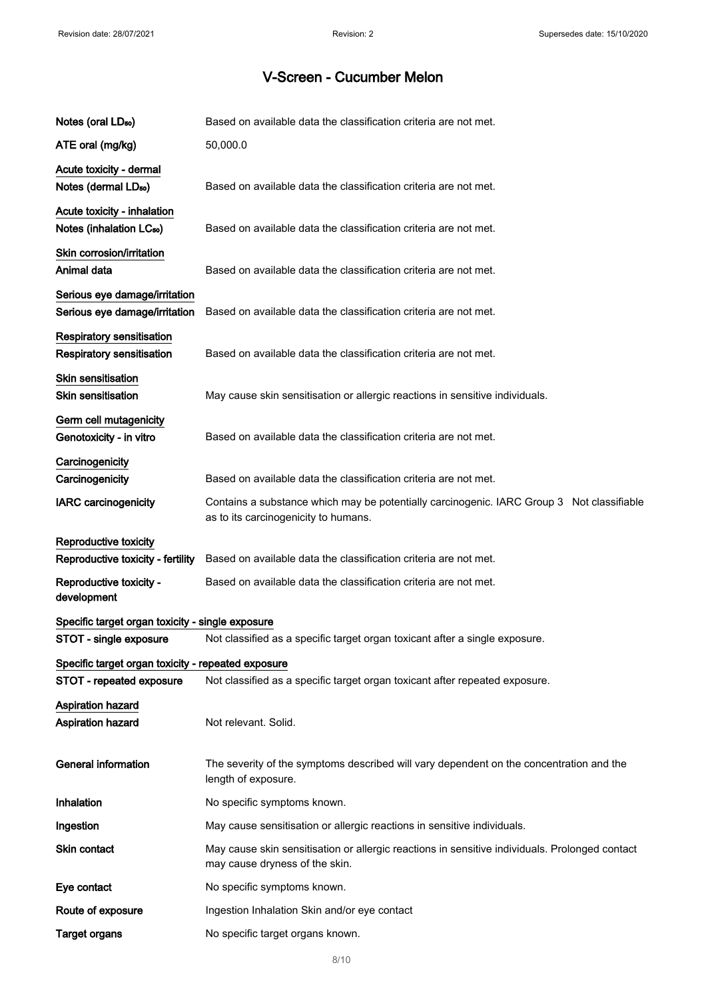| Notes (oral LD <sub>50</sub> )                                       | Based on available data the classification criteria are not met.                                                                  |
|----------------------------------------------------------------------|-----------------------------------------------------------------------------------------------------------------------------------|
| ATE oral (mg/kg)                                                     | 50,000.0                                                                                                                          |
| Acute toxicity - dermal<br>Notes (dermal LD <sub>50</sub> )          | Based on available data the classification criteria are not met.                                                                  |
| Acute toxicity - inhalation<br>Notes (inhalation LC <sub>50</sub> )  | Based on available data the classification criteria are not met.                                                                  |
| Skin corrosion/irritation<br>Animal data                             | Based on available data the classification criteria are not met.                                                                  |
| Serious eye damage/irritation<br>Serious eye damage/irritation       | Based on available data the classification criteria are not met.                                                                  |
| <b>Respiratory sensitisation</b><br><b>Respiratory sensitisation</b> | Based on available data the classification criteria are not met.                                                                  |
| Skin sensitisation<br><b>Skin sensitisation</b>                      | May cause skin sensitisation or allergic reactions in sensitive individuals.                                                      |
| Germ cell mutagenicity<br>Genotoxicity - in vitro                    | Based on available data the classification criteria are not met.                                                                  |
| Carcinogenicity<br>Carcinogenicity                                   | Based on available data the classification criteria are not met.                                                                  |
| <b>IARC</b> carcinogenicity                                          | Contains a substance which may be potentially carcinogenic. IARC Group 3 Not classifiable<br>as to its carcinogenicity to humans. |
| Reproductive toxicity<br>Reproductive toxicity - fertility           | Based on available data the classification criteria are not met.                                                                  |
| Reproductive toxicity -<br>development                               | Based on available data the classification criteria are not met.                                                                  |
| Specific target organ toxicity - single exposure                     |                                                                                                                                   |
| STOT - single exposure                                               | Not classified as a specific target organ toxicant after a single exposure.                                                       |
| Specific target organ toxicity - repeated exposure                   |                                                                                                                                   |
| STOT - repeated exposure                                             | Not classified as a specific target organ toxicant after repeated exposure.                                                       |
| <b>Aspiration hazard</b><br>Aspiration hazard                        | Not relevant. Solid.                                                                                                              |
| <b>General information</b>                                           | The severity of the symptoms described will vary dependent on the concentration and the<br>length of exposure.                    |
| Inhalation                                                           | No specific symptoms known.                                                                                                       |
| Ingestion                                                            | May cause sensitisation or allergic reactions in sensitive individuals.                                                           |
| Skin contact                                                         | May cause skin sensitisation or allergic reactions in sensitive individuals. Prolonged contact<br>may cause dryness of the skin.  |
| Eye contact                                                          | No specific symptoms known.                                                                                                       |
| Route of exposure                                                    | Ingestion Inhalation Skin and/or eye contact                                                                                      |
| <b>Target organs</b>                                                 | No specific target organs known.                                                                                                  |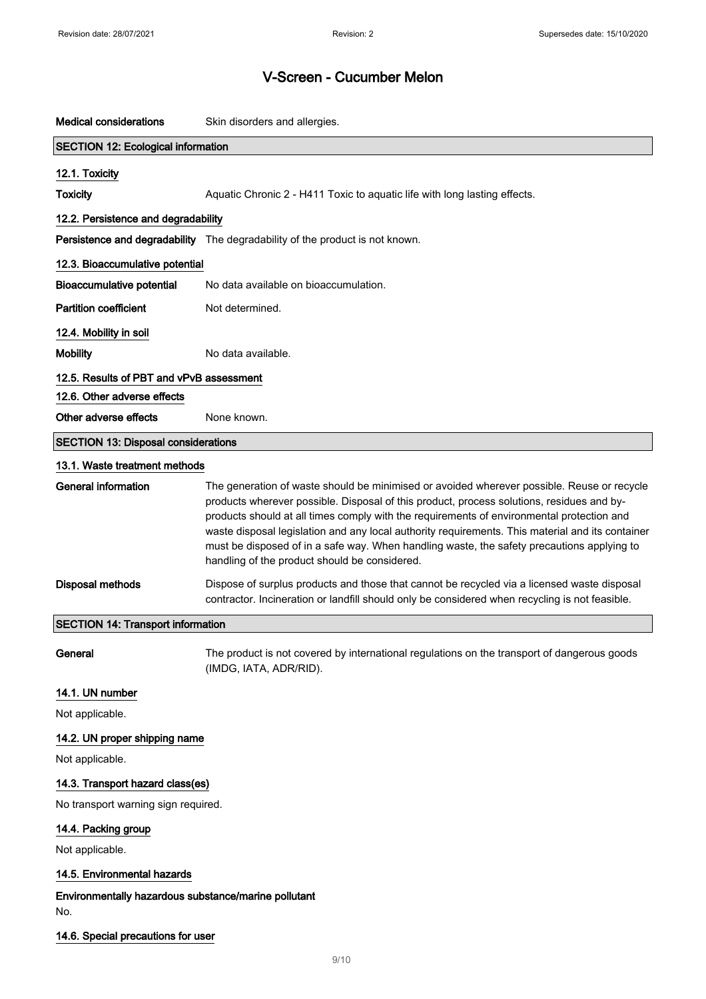| <b>Medical considerations</b>              | Skin disorders and allergies.                                                                                                                                                                                                                                                                                                                                                                                                                                                                                                           |
|--------------------------------------------|-----------------------------------------------------------------------------------------------------------------------------------------------------------------------------------------------------------------------------------------------------------------------------------------------------------------------------------------------------------------------------------------------------------------------------------------------------------------------------------------------------------------------------------------|
| <b>SECTION 12: Ecological information</b>  |                                                                                                                                                                                                                                                                                                                                                                                                                                                                                                                                         |
| 12.1. Toxicity                             |                                                                                                                                                                                                                                                                                                                                                                                                                                                                                                                                         |
| <b>Toxicity</b>                            | Aquatic Chronic 2 - H411 Toxic to aquatic life with long lasting effects.                                                                                                                                                                                                                                                                                                                                                                                                                                                               |
| 12.2. Persistence and degradability        |                                                                                                                                                                                                                                                                                                                                                                                                                                                                                                                                         |
|                                            | Persistence and degradability The degradability of the product is not known.                                                                                                                                                                                                                                                                                                                                                                                                                                                            |
| 12.3. Bioaccumulative potential            |                                                                                                                                                                                                                                                                                                                                                                                                                                                                                                                                         |
| <b>Bioaccumulative potential</b>           | No data available on bioaccumulation.                                                                                                                                                                                                                                                                                                                                                                                                                                                                                                   |
| <b>Partition coefficient</b>               | Not determined.                                                                                                                                                                                                                                                                                                                                                                                                                                                                                                                         |
| 12.4. Mobility in soil                     |                                                                                                                                                                                                                                                                                                                                                                                                                                                                                                                                         |
| <b>Mobility</b>                            | No data available.                                                                                                                                                                                                                                                                                                                                                                                                                                                                                                                      |
| 12.5. Results of PBT and vPvB assessment   |                                                                                                                                                                                                                                                                                                                                                                                                                                                                                                                                         |
| 12.6. Other adverse effects                |                                                                                                                                                                                                                                                                                                                                                                                                                                                                                                                                         |
| Other adverse effects                      | None known.                                                                                                                                                                                                                                                                                                                                                                                                                                                                                                                             |
| <b>SECTION 13: Disposal considerations</b> |                                                                                                                                                                                                                                                                                                                                                                                                                                                                                                                                         |
| 13.1. Waste treatment methods              |                                                                                                                                                                                                                                                                                                                                                                                                                                                                                                                                         |
| <b>General information</b>                 | The generation of waste should be minimised or avoided wherever possible. Reuse or recycle<br>products wherever possible. Disposal of this product, process solutions, residues and by-<br>products should at all times comply with the requirements of environmental protection and<br>waste disposal legislation and any local authority requirements. This material and its container<br>must be disposed of in a safe way. When handling waste, the safety precautions applying to<br>handling of the product should be considered. |
| <b>Disposal methods</b>                    | Dispose of surplus products and those that cannot be recycled via a licensed waste disposal<br>contractor. Incineration or landfill should only be considered when recycling is not feasible.                                                                                                                                                                                                                                                                                                                                           |
| <b>SECTION 14: Transport information</b>   |                                                                                                                                                                                                                                                                                                                                                                                                                                                                                                                                         |
| General                                    | The product is not covered by international regulations on the transport of dangerous goods<br>(IMDG, IATA, ADR/RID).                                                                                                                                                                                                                                                                                                                                                                                                                   |
| 14.1. UN number                            |                                                                                                                                                                                                                                                                                                                                                                                                                                                                                                                                         |
| Not applicable.                            |                                                                                                                                                                                                                                                                                                                                                                                                                                                                                                                                         |
| 14.2. UN proper shipping name              |                                                                                                                                                                                                                                                                                                                                                                                                                                                                                                                                         |
| Not applicable.                            |                                                                                                                                                                                                                                                                                                                                                                                                                                                                                                                                         |
| 14.3. Transport hazard class(es)           |                                                                                                                                                                                                                                                                                                                                                                                                                                                                                                                                         |
| No transport warning sign required.        |                                                                                                                                                                                                                                                                                                                                                                                                                                                                                                                                         |
| 14.4. Packing group                        |                                                                                                                                                                                                                                                                                                                                                                                                                                                                                                                                         |
| Not applicable.                            |                                                                                                                                                                                                                                                                                                                                                                                                                                                                                                                                         |
| 14.5. Environmental hazards                |                                                                                                                                                                                                                                                                                                                                                                                                                                                                                                                                         |
|                                            |                                                                                                                                                                                                                                                                                                                                                                                                                                                                                                                                         |

#### Environmentally hazardous substance/marine pollutant No.

### 14.6. Special precautions for user